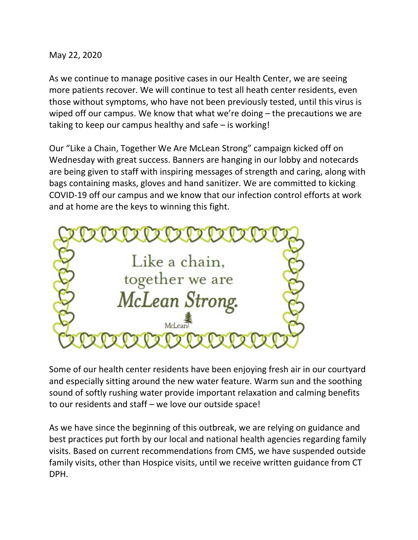May 22, 2020

As we continue to manage positive cases in our Health Center, we are seeing more patients recover. We will continue to test all heath center residents, even those without symptoms, who have not been previously tested, until this virus is wiped off our campus. We know that what we're doing – the precautions we are taking to keep our campus healthy and safe – is working!

Our "Like a Chain, Together We Are McLean Strong" campaign kicked off on Wednesday with great success. Banners are hanging in our lobby and notecards are being given to staff with inspiring messages of strength and caring, along with bags containing masks, gloves and hand sanitizer. We are committed to kicking COVID-19 off our campus and we know that our infection control efforts at work and at home are the keys to winning this fight.



Some of our health center residents have been enjoying fresh air in our courtyard and especially sitting around the new water feature. Warm sun and the soothing sound of softly rushing water provide important relaxation and calming benefits to our residents and staff – we love our outside space!

As we have since the beginning of this outbreak, we are relying on guidance and best practices put forth by our local and national health agencies regarding family visits. Based on current recommendations from CMS, we have suspended outside family visits, other than Hospice visits, until we receive written guidance from CT DPH.